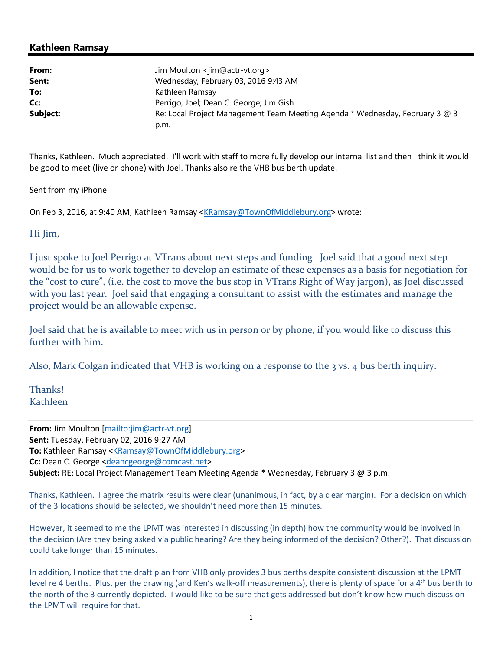## Kathleen Ramsay

| From:    | Jim Moulton <jim@actr-vt.org></jim@actr-vt.org>                              |
|----------|------------------------------------------------------------------------------|
| Sent:    | Wednesday, February 03, 2016 9:43 AM                                         |
| To:      | Kathleen Ramsay                                                              |
| Cc:      | Perrigo, Joel; Dean C. George; Jim Gish                                      |
| Subject: | Re: Local Project Management Team Meeting Agenda * Wednesday, February 3 @ 3 |
|          | p.m.                                                                         |

Thanks, Kathleen. Much appreciated. I'll work with staff to more fully develop our internal list and then I think it would be good to meet (live or phone) with Joel. Thanks also re the VHB bus berth update.

Sent from my iPhone

On Feb 3, 2016, at 9:40 AM, Kathleen Ramsay <KRamsay@TownOfMiddlebury.org> wrote:

Hi Jim,

I just spoke to Joel Perrigo at VTrans about next steps and funding. Joel said that a good next step would be for us to work together to develop an estimate of these expenses as a basis for negotiation for the "cost to cure", (i.e. the cost to move the bus stop in VTrans Right of Way jargon), as Joel discussed with you last year. Joel said that engaging a consultant to assist with the estimates and manage the project would be an allowable expense.

Joel said that he is available to meet with us in person or by phone, if you would like to discuss this further with him.

Also, Mark Colgan indicated that VHB is working on a response to the 3 vs. 4 bus berth inquiry.

Thanks! Kathleen

From: Jim Moulton [mailto:jim@actr-vt.org] Sent: Tuesday, February 02, 2016 9:27 AM To: Kathleen Ramsay <KRamsay@TownOfMiddlebury.org> Cc: Dean C. George <deancgeorge@comcast.net> Subject: RE: Local Project Management Team Meeting Agenda \* Wednesday, February 3 @ 3 p.m.

Thanks, Kathleen. I agree the matrix results were clear (unanimous, in fact, by a clear margin). For a decision on which of the 3 locations should be selected, we shouldn't need more than 15 minutes.

However, it seemed to me the LPMT was interested in discussing (in depth) how the community would be involved in the decision (Are they being asked via public hearing? Are they being informed of the decision? Other?). That discussion could take longer than 15 minutes.

In addition, I notice that the draft plan from VHB only provides 3 bus berths despite consistent discussion at the LPMT level re 4 berths. Plus, per the drawing (and Ken's walk-off measurements), there is plenty of space for a 4<sup>th</sup> bus berth to the north of the 3 currently depicted. I would like to be sure that gets addressed but don't know how much discussion the LPMT will require for that.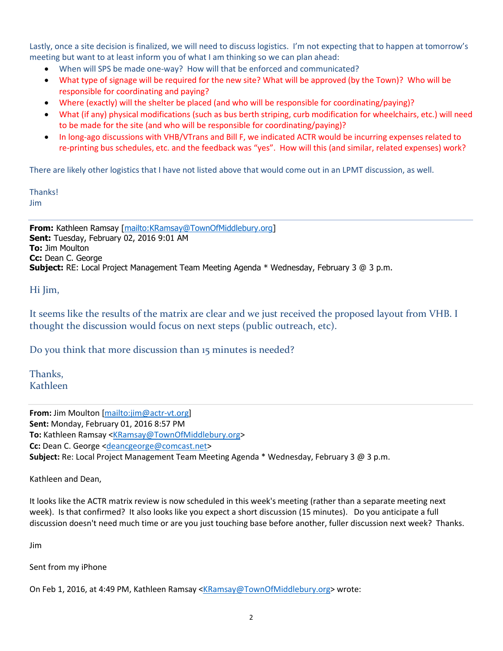Lastly, once a site decision is finalized, we will need to discuss logistics. I'm not expecting that to happen at tomorrow's meeting but want to at least inform you of what I am thinking so we can plan ahead:

- When will SPS be made one-way? How will that be enforced and communicated?
- What type of signage will be required for the new site? What will be approved (by the Town)? Who will be responsible for coordinating and paying?
- Where (exactly) will the shelter be placed (and who will be responsible for coordinating/paying)?
- What (if any) physical modifications (such as bus berth striping, curb modification for wheelchairs, etc.) will need to be made for the site (and who will be responsible for coordinating/paying)?
- In long-ago discussions with VHB/VTrans and Bill F, we indicated ACTR would be incurring expenses related to re-printing bus schedules, etc. and the feedback was "yes". How will this (and similar, related expenses) work?

There are likely other logistics that I have not listed above that would come out in an LPMT discussion, as well.

**Thanks!** 

Jim

From: Kathleen Ramsay [mailto:KRamsay@TownOfMiddlebury.org] Sent: Tuesday, February 02, 2016 9:01 AM To: Jim Moulton Cc: Dean C. George Subject: RE: Local Project Management Team Meeting Agenda \* Wednesday, February 3 @ 3 p.m.

Hi Jim,

It seems like the results of the matrix are clear and we just received the proposed layout from VHB. I thought the discussion would focus on next steps (public outreach, etc).

Do you think that more discussion than 15 minutes is needed?

Thanks, Kathleen

From: Jim Moulton [mailto:jim@actr-vt.org] Sent: Monday, February 01, 2016 8:57 PM To: Kathleen Ramsay <KRamsay@TownOfMiddlebury.org> Cc: Dean C. George <deancgeorge@comcast.net> Subject: Re: Local Project Management Team Meeting Agenda \* Wednesday, February 3 @ 3 p.m.

Kathleen and Dean,

It looks like the ACTR matrix review is now scheduled in this week's meeting (rather than a separate meeting next week). Is that confirmed? It also looks like you expect a short discussion (15 minutes). Do you anticipate a full discussion doesn't need much time or are you just touching base before another, fuller discussion next week? Thanks.

Jim

Sent from my iPhone

On Feb 1, 2016, at 4:49 PM, Kathleen Ramsay <KRamsay@TownOfMiddlebury.org> wrote: